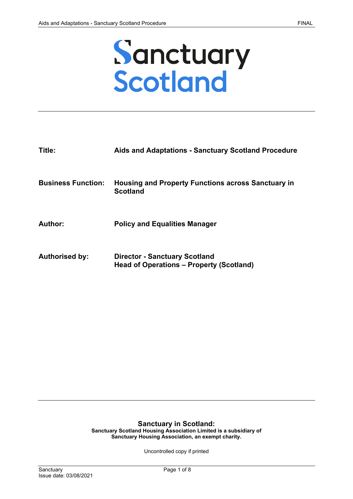

| Title:                    | <b>Aids and Adaptations - Sanctuary Scotland Procedure</b>                       |
|---------------------------|----------------------------------------------------------------------------------|
| <b>Business Function:</b> | <b>Housing and Property Functions across Sanctuary in</b><br><b>Scotland</b>     |
| Author:                   | <b>Policy and Equalities Manager</b>                                             |
| <b>Authorised by:</b>     | <b>Director - Sanctuary Scotland</b><br>Head of Operations – Property (Scotland) |

#### **Sanctuary in Scotland:**

**Sanctuary Scotland Housing Association Limited is a subsidiary of Sanctuary Housing Association, an exempt charity.**

Uncontrolled copy if printed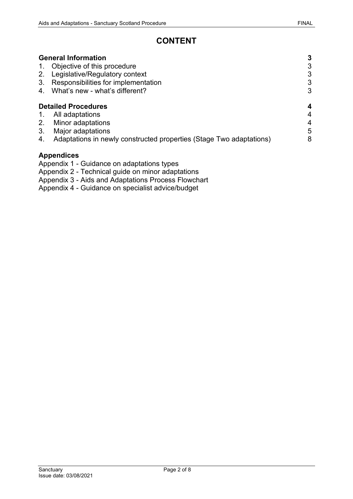# **CONTENT**

|    | <b>General Information</b>                                          | 3 |
|----|---------------------------------------------------------------------|---|
|    | Objective of this procedure                                         | 3 |
| 2. | Legislative/Regulatory context                                      | 3 |
| 3. | Responsibilities for implementation                                 | 3 |
| 4. | What's new - what's different?                                      | 3 |
|    | <b>Detailed Procedures</b>                                          | 4 |
| 1. | All adaptations                                                     | 4 |
| 2. | Minor adaptations                                                   | 4 |
| 3. | Major adaptations                                                   | 5 |
| 4. | Adaptations in newly constructed properties (Stage Two adaptations) | 8 |
|    | <b>Appendices</b><br>Appendix 1 Cuidance on adaptations types       |   |

Appendix 1 - Guidance on adaptations types

Appendix 2 - Technical guide on minor adaptations

Appendix 3 - Aids and Adaptations Process Flowchart

Appendix 4 - Guidance on specialist advice/budget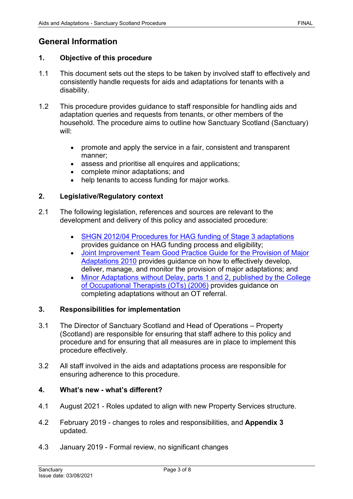## <span id="page-2-0"></span>**General Information**

#### <span id="page-2-1"></span>**1. Objective of this procedure**

- 1.1 This document sets out the steps to be taken by involved staff to effectively and consistently handle requests for aids and adaptations for tenants with a disability.
- 1.2 This procedure provides guidance to staff responsible for handling aids and adaptation queries and requests from tenants, or other members of the household. The procedure aims to outline how Sanctuary Scotland (Sanctuary) will:
	- promote and apply the service in a fair, consistent and transparent manner;
	- assess and prioritise all enquires and applications;
	- complete minor adaptations; and
	- help tenants to access funding for major works.

#### <span id="page-2-2"></span>**2. Legislative/Regulatory context**

- 2.1 The following legislation, references and sources are relevant to the development and delivery of this policy and associated procedure:
	- [SHGN 2012/04 Procedures for HAG funding of Stage 3 adaptations](https://www2.gov.scot/Topics/Built-Environment/Housing/investment/guidancenotes/GuidanceNotes2012/HSGN201204Guidance) provides guidance on HAG funding process and eligibility;
	- [Joint Improvement Team Good Practice Guide for the Provision of Major](http://www.jitscotland.org.uk/wp-content/uploads/2015/01/Good-Practice-Guide-for-the-Provision-of-Major-Adaptations.pdf)  [Adaptations 2010](http://www.jitscotland.org.uk/wp-content/uploads/2015/01/Good-Practice-Guide-for-the-Provision-of-Major-Adaptations.pdf) provides guidance on how to effectively develop, deliver, manage, and monitor the provision of major adaptations; and
	- Minor Adaptations without Delay, parts 1 and 2, published by the College [of Occupational Therapists \(OTs\) \(2006\)](http://www.rcot.co.uk/practice-resources/rcot-publications/downloads/minor-adaptations-without-delay) provides guidance on completing adaptations without an OT referral.

#### <span id="page-2-3"></span>**3. Responsibilities for implementation**

- 3.1 The Director of Sanctuary Scotland and Head of Operations Property (Scotland) are responsible for ensuring that staff adhere to this policy and procedure and for ensuring that all measures are in place to implement this procedure effectively.
- 3.2 All staff involved in the aids and adaptations process are responsible for ensuring adherence to this procedure.

#### <span id="page-2-4"></span>**4. What's new - what's different?**

- 4.1 August 2021 Roles updated to align with new Property Services structure.
- 4.2 February 2019 changes to roles and responsibilities, and **Appendix 3** updated.
- 4.3 January 2019 Formal review, no significant changes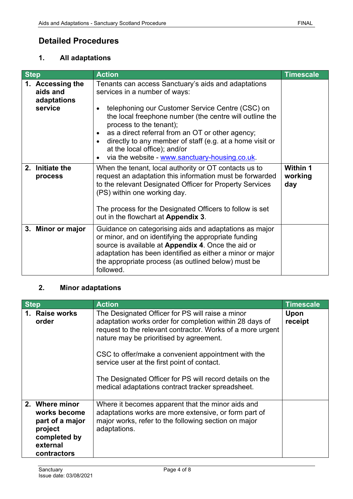### <span id="page-3-0"></span>**Detailed Procedures**

#### <span id="page-3-1"></span>**1. All adaptations**

| <b>Step</b> |                                                        | <b>Action</b>                                                                                                                                                                                                                                                                                                                                                                                                                                                           | <b>Timescale</b>                  |
|-------------|--------------------------------------------------------|-------------------------------------------------------------------------------------------------------------------------------------------------------------------------------------------------------------------------------------------------------------------------------------------------------------------------------------------------------------------------------------------------------------------------------------------------------------------------|-----------------------------------|
|             | 1. Accessing the<br>aids and<br>adaptations<br>service | Tenants can access Sanctuary's aids and adaptations<br>services in a number of ways:<br>telephoning our Customer Service Centre (CSC) on<br>the local freephone number (the centre will outline the<br>process to the tenant);<br>as a direct referral from an OT or other agency;<br>$\bullet$<br>directly to any member of staff (e.g. at a home visit or<br>$\bullet$<br>at the local office); and/or<br>via the website - www.sanctuary-housing.co.uk.<br>$\bullet$ |                                   |
|             | 2. Initiate the<br>process                             | When the tenant, local authority or OT contacts us to<br>request an adaptation this information must be forwarded<br>to the relevant Designated Officer for Property Services<br>(PS) within one working day.<br>The process for the Designated Officers to follow is set<br>out in the flowchart at Appendix 3.                                                                                                                                                        | <b>Within 1</b><br>working<br>day |
|             | 3. Minor or major                                      | Guidance on categorising aids and adaptations as major<br>or minor, and on identifying the appropriate funding<br>source is available at Appendix 4. Once the aid or<br>adaptation has been identified as either a minor or major<br>the appropriate process (as outlined below) must be<br>followed.                                                                                                                                                                   |                                   |

#### <span id="page-3-2"></span>**2. Minor adaptations**

| <b>Step</b> |                                                                                                         | <b>Action</b>                                                                                                                                                                                                                                                                                                                                                                                                                               | <b>Timescale</b> |
|-------------|---------------------------------------------------------------------------------------------------------|---------------------------------------------------------------------------------------------------------------------------------------------------------------------------------------------------------------------------------------------------------------------------------------------------------------------------------------------------------------------------------------------------------------------------------------------|------------------|
|             | 1. Raise works<br>order                                                                                 | The Designated Officer for PS will raise a minor<br>adaptation works order for completion within 28 days of<br>request to the relevant contractor. Works of a more urgent<br>nature may be prioritised by agreement.<br>CSC to offer/make a convenient appointment with the<br>service user at the first point of contact.<br>The Designated Officer for PS will record details on the<br>medical adaptations contract tracker spreadsheet. | Upon<br>receipt  |
|             | 2. Where minor<br>works become<br>part of a major<br>project<br>completed by<br>external<br>contractors | Where it becomes apparent that the minor aids and<br>adaptations works are more extensive, or form part of<br>major works, refer to the following section on major<br>adaptations.                                                                                                                                                                                                                                                          |                  |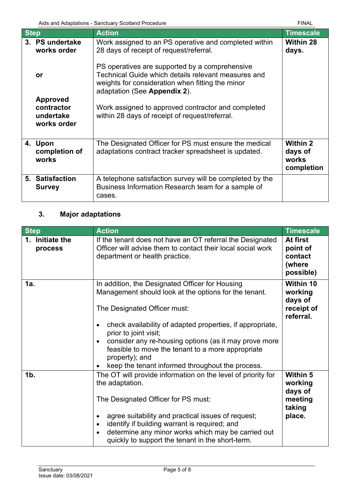| Aids and Adaptations - Sanctuary Scotland Procedure |                                                           | FINAL                                                                                                                                                                                     |                                                   |
|-----------------------------------------------------|-----------------------------------------------------------|-------------------------------------------------------------------------------------------------------------------------------------------------------------------------------------------|---------------------------------------------------|
| <b>Step</b>                                         |                                                           | <b>Action</b>                                                                                                                                                                             | <b>Timescale</b>                                  |
|                                                     | 3. PS undertake<br>works order                            | Work assigned to an PS operative and completed within<br>28 days of receipt of request/referral.                                                                                          | <b>Within 28</b><br>days.                         |
|                                                     | or                                                        | PS operatives are supported by a comprehensive<br>Technical Guide which details relevant measures and<br>weights for consideration when fitting the minor<br>adaptation (See Appendix 2). |                                                   |
|                                                     | <b>Approved</b><br>contractor<br>undertake<br>works order | Work assigned to approved contractor and completed<br>within 28 days of receipt of request/referral.                                                                                      |                                                   |
|                                                     | 4. Upon<br>completion of<br>works                         | The Designated Officer for PS must ensure the medical<br>adaptations contract tracker spreadsheet is updated.                                                                             | <b>Within 2</b><br>days of<br>works<br>completion |
|                                                     | 5. Satisfaction<br><b>Survey</b>                          | A telephone satisfaction survey will be completed by the<br>Business Information Research team for a sample of<br>cases.                                                                  |                                                   |

## <span id="page-4-0"></span>**3. Major adaptations**

| <b>Step</b>                | <b>Action</b>                                                                                                                                                                                                                                                                                                                                                                  | <b>Timescale</b>                                                     |
|----------------------------|--------------------------------------------------------------------------------------------------------------------------------------------------------------------------------------------------------------------------------------------------------------------------------------------------------------------------------------------------------------------------------|----------------------------------------------------------------------|
| 1. Initiate the<br>process | If the tenant does not have an OT referral the Designated<br>Officer will advise them to contact their local social work<br>department or health practice.                                                                                                                                                                                                                     | At first<br>point of<br>contact<br>(where<br>possible)               |
| 1a.                        | In addition, the Designated Officer for Housing<br>Management should look at the options for the tenant.<br>The Designated Officer must:                                                                                                                                                                                                                                       | Within 10<br>working<br>days of<br>receipt of<br>referral.           |
|                            | check availability of adapted properties, if appropriate,<br>$\bullet$<br>prior to joint visit;<br>consider any re-housing options (as it may prove more<br>$\bullet$<br>feasible to move the tenant to a more appropriate<br>property); and<br>keep the tenant informed throughout the process.                                                                               |                                                                      |
| 1 <sub>b</sub>             | The OT will provide information on the level of priority for<br>the adaptation.<br>The Designated Officer for PS must:<br>agree suitability and practical issues of request;<br>$\bullet$<br>identify if building warrant is required; and<br>$\bullet$<br>determine any minor works which may be carried out<br>$\bullet$<br>quickly to support the tenant in the short-term. | <b>Within 5</b><br>working<br>days of<br>meeting<br>taking<br>place. |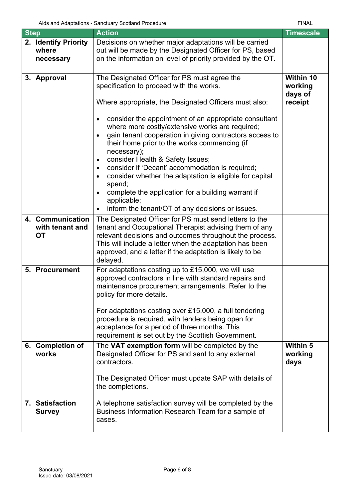| <b>Step</b> |                                                  | <b>Action</b>                                                                                                                                                                                                                                                                                                                                                                                                                                                                                                                                                                                                                                                                                                            | <b>Timescale</b>                           |
|-------------|--------------------------------------------------|--------------------------------------------------------------------------------------------------------------------------------------------------------------------------------------------------------------------------------------------------------------------------------------------------------------------------------------------------------------------------------------------------------------------------------------------------------------------------------------------------------------------------------------------------------------------------------------------------------------------------------------------------------------------------------------------------------------------------|--------------------------------------------|
|             | 2. Identify Priority<br>where<br>necessary       | Decisions on whether major adaptations will be carried<br>out will be made by the Designated Officer for PS, based<br>on the information on level of priority provided by the OT.                                                                                                                                                                                                                                                                                                                                                                                                                                                                                                                                        |                                            |
|             | 3. Approval                                      | The Designated Officer for PS must agree the<br>specification to proceed with the works.<br>Where appropriate, the Designated Officers must also:<br>consider the appointment of an appropriate consultant<br>٠<br>where more costly/extensive works are required;<br>gain tenant cooperation in giving contractors access to<br>their home prior to the works commencing (if<br>necessary);<br>consider Health & Safety Issues;<br>$\bullet$<br>consider if 'Decant' accommodation is required;<br>$\bullet$<br>consider whether the adaptation is eligible for capital<br>spend;<br>complete the application for a building warrant if<br>applicable;<br>inform the tenant/OT of any decisions or issues.<br>$\bullet$ | Within 10<br>working<br>days of<br>receipt |
|             | 4. Communication<br>with tenant and<br><b>OT</b> | The Designated Officer for PS must send letters to the<br>tenant and Occupational Therapist advising them of any<br>relevant decisions and outcomes throughout the process.<br>This will include a letter when the adaptation has been<br>approved, and a letter if the adaptation is likely to be<br>delayed.                                                                                                                                                                                                                                                                                                                                                                                                           |                                            |
|             | 5. Procurement                                   | For adaptations costing up to £15,000, we will use<br>approved contractors in line with standard repairs and<br>maintenance procurement arrangements. Refer to the<br>policy for more details.<br>For adaptations costing over £15,000, a full tendering<br>procedure is required, with tenders being open for<br>acceptance for a period of three months. This<br>requirement is set out by the Scottish Government.                                                                                                                                                                                                                                                                                                    |                                            |
|             | 6. Completion of<br>works                        | The VAT exemption form will be completed by the<br>Designated Officer for PS and sent to any external<br>contractors.<br>The Designated Officer must update SAP with details of<br>the completions.                                                                                                                                                                                                                                                                                                                                                                                                                                                                                                                      | <b>Within 5</b><br>working<br>days         |
|             | 7. Satisfaction<br><b>Survey</b>                 | A telephone satisfaction survey will be completed by the<br>Business Information Research Team for a sample of<br>cases.                                                                                                                                                                                                                                                                                                                                                                                                                                                                                                                                                                                                 |                                            |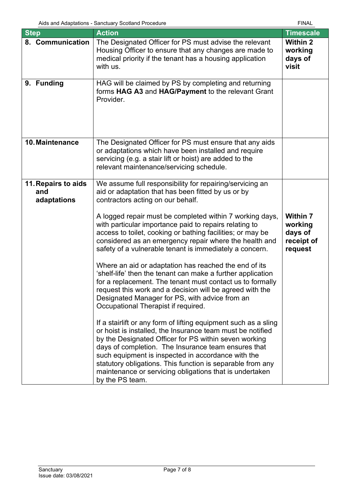| <b>Step</b>                               | <b>Action</b>                                                                                                                                                                                                                                                                                                                                                                                                                                   | <b>Timescale</b>                                               |
|-------------------------------------------|-------------------------------------------------------------------------------------------------------------------------------------------------------------------------------------------------------------------------------------------------------------------------------------------------------------------------------------------------------------------------------------------------------------------------------------------------|----------------------------------------------------------------|
| 8. Communication                          | The Designated Officer for PS must advise the relevant<br>Housing Officer to ensure that any changes are made to<br>medical priority if the tenant has a housing application<br>with us.                                                                                                                                                                                                                                                        | <b>Within 2</b><br>working<br>days of<br>visit                 |
| 9. Funding                                | HAG will be claimed by PS by completing and returning<br>forms HAG A3 and HAG/Payment to the relevant Grant<br>Provider.                                                                                                                                                                                                                                                                                                                        |                                                                |
| 10. Maintenance                           | The Designated Officer for PS must ensure that any aids<br>or adaptations which have been installed and require<br>servicing (e.g. a stair lift or hoist) are added to the<br>relevant maintenance/servicing schedule.                                                                                                                                                                                                                          |                                                                |
| 11. Repairs to aids<br>and<br>adaptations | We assume full responsibility for repairing/servicing an<br>aid or adaptation that has been fitted by us or by<br>contractors acting on our behalf.                                                                                                                                                                                                                                                                                             |                                                                |
|                                           | A logged repair must be completed within 7 working days,<br>with particular importance paid to repairs relating to<br>access to toilet, cooking or bathing facilities; or may be<br>considered as an emergency repair where the health and<br>safety of a vulnerable tenant is immediately a concern.                                                                                                                                           | <b>Within 7</b><br>working<br>days of<br>receipt of<br>request |
|                                           | Where an aid or adaptation has reached the end of its<br>'shelf-life' then the tenant can make a further application<br>for a replacement. The tenant must contact us to formally<br>request this work and a decision will be agreed with the<br>Designated Manager for PS, with advice from an<br>Occupational Therapist if required.                                                                                                          |                                                                |
|                                           | If a stairlift or any form of lifting equipment such as a sling<br>or hoist is installed, the Insurance team must be notified<br>by the Designated Officer for PS within seven working<br>days of completion. The Insurance team ensures that<br>such equipment is inspected in accordance with the<br>statutory obligations. This function is separable from any<br>maintenance or servicing obligations that is undertaken<br>by the PS team. |                                                                |